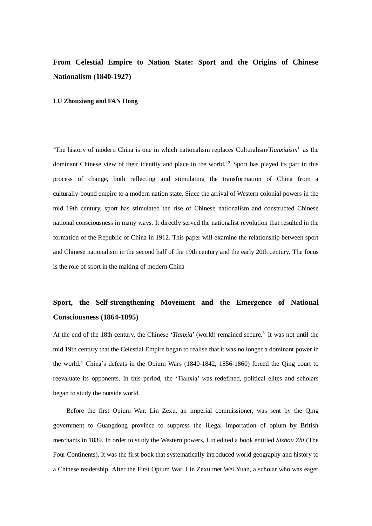## **From Celestial Empire to Nation State: Sport and the Origins of Chinese Nationalism (1840-1927)**

## **LU Zhouxiang and FAN Hong**

'The history of modern China is one in which nationalism replaces Culturalism/*Tianxiaism*<sup>1</sup> as the dominant Chinese view of their identity and place in the world.' <sup>2</sup> Sport has played its part in this process of change, both reflecting and stimulating the transformation of China from a culturally-bound empire to a modern nation state. Since the arrival of Western colonial powers in the mid 19th century, sport has stimulated the rise of Chinese nationalism and constructed Chinese national consciousness in many ways. It directly served the nationalist revolution that resulted in the formation of the Republic of China in 1912. This paper will examine the relationship between sport and Chinese nationalism in the second half of the 19th century and the early 20th century. The focus is the role of sport in the making of modern China

## **Sport, the Self-strengthening Movement and the Emergence of National Consciousness (1864-1895)**

At the end of the 18th century, the Chinese '*Tianxia*' (world) remained secure. 3 It was not until the mid 19th century that the Celestial Empire began to realise that it was no longer a dominant power in the world.<sup>4</sup> China's defeats in the Opium Wars (1840-1842, 1856-1860) forced the Qing court to reevaluate its opponents. In this period, the 'Tianxia' was redefined, political elites and scholars began to study the outside world.

Before the first Opium War, Lin Zexu, an imperial commissioner, was sent by the Qing government to Guangdong province to suppress the illegal importation of opium by British merchants in 1839. In order to study the Western powers, Lin edited a book entitled *Sizhou Zhi* (The Four Continents). It was the first book that systematically introduced world geography and history to a Chinese readership. After the First Opium War, Lin Zexu met Wei Yuan, a scholar who was eager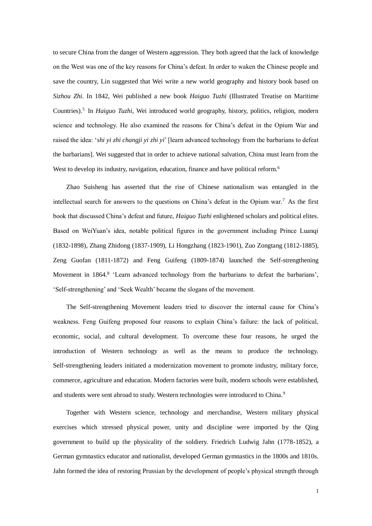to secure China from the danger of Western aggression. They both agreed that the lack of knowledge on the West was one of the key reasons for China's defeat. In order to waken the Chinese people and save the country, Lin suggested that Wei write a new world geography and history book based on *Sizhou Zhi*. In 1842, Wei published a new book *Haiguo Tuzhi* (Illustrated Treatise on Maritime Countries).<sup>5</sup> In *Haiguo Tuzhi*, Wei introduced world geography, history, politics, religion, modern science and technology. He also examined the reasons for China's defeat in the Opium War and raised the idea: '*shi yi zhi changji yi zhi yi*' [learn advanced technology from the barbarians to defeat the barbarians]. Wei suggested that in order to achieve national salvation, China must learn from the West to develop its industry, navigation, education, finance and have political reform.<sup>6</sup>

Zhao Suisheng has asserted that the rise of Chinese nationalism was entangled in the intellectual search for answers to the questions on China's defeat in the Opium war.<sup>7</sup> As the first book that discussed China's defeat and future, *Haiguo Tuzhi* enlightened scholars and political elites. Based on WeiYuan's idea, notable political figures in the government including Prince Luanqi (1832-1898), Zhang Zhidong (1837-1909), Li Hongzhang (1823-1901), Zuo Zongtang (1812-1885), Zeng Guofan (1811-1872) and Feng Guifeng (1809-1874) launched the Self-strengthening Movement in 1864.<sup>8</sup> 'Learn advanced technology from the barbarians to defeat the barbarians', 'Self-strengthening' and 'Seek Wealth' became the slogans of the movement.

The Self-strengthening Movement leaders tried to discover the internal cause for China's weakness. Feng Guifeng proposed four reasons to explain China's failure: the lack of political, economic, social, and cultural development. To overcome these four reasons, he urged the introduction of Western technology as well as the means to produce the technology. Self-strengthening leaders initiated a modernization movement to promote industry, military force, commerce, agriculture and education. Modern factories were built, modern schools were established, and students were sent abroad to study. Western technologies were introduced to China.<sup>9</sup>

Together with Western science, technology and merchandise, Western military physical exercises which stressed physical power, unity and discipline were imported by the Qing government to build up the physicality of the soldiery. Friedrich Ludwig Jahn (1778-1852), a German gymnastics educator and nationalist, developed German gymnastics in the 1800s and 1810s. Jahn formed the idea of restoring Prussian by the development of people's physical strength through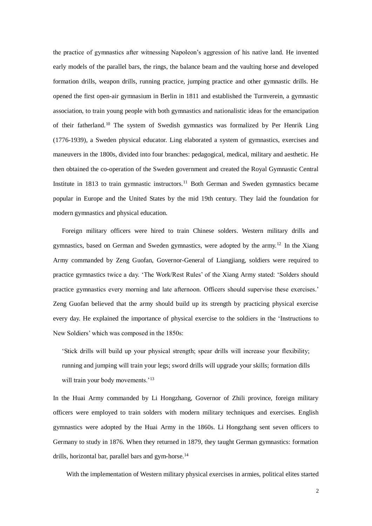the practice of gymnastics after witnessing Napoleon's aggression of his native land. He invented early models of the parallel bars, the rings, the balance beam and the vaulting horse and developed formation drills, weapon drills, running practice, jumping practice and other gymnastic drills. He opened the first open-air gymnasium in Berlin in 1811 and established the Turnverein, a gymnastic association, to train young people with both gymnastics and nationalistic ideas for the emancipation of their fatherland.<sup>10</sup> The system of Swedish gymnastics was formalized by Per Henrik Ling (1776-1939), a Sweden physical educator. Ling elaborated a system of gymnastics, exercises and maneuvers in the 1800s, divided into four branches: pedagogical, medical, military and aesthetic. He then obtained the co-operation of the Sweden government and created the Royal Gymnastic Central Institute in 1813 to train gymnastic instructors.<sup>11</sup> Both German and Sweden gymnastics became popular in Europe and the United States by the mid 19th century. They laid the foundation for modern gymnastics and physical education.

Foreign military officers were hired to train Chinese solders. Western military drills and gymnastics, based on German and Sweden gymnastics, were adopted by the army.<sup>12</sup> In the Xiang Army commanded by Zeng Guofan, Governor-General of Liangjiang, soldiers were required to practice gymnastics twice a day. 'The Work/Rest Rules' of the Xiang Army stated: 'Solders should practice gymnastics every morning and late afternoon. Officers should supervise these exercises.' Zeng Guofan believed that the army should build up its strength by practicing physical exercise every day. He explained the importance of physical exercise to the soldiers in the 'Instructions to New Soldiers' which was composed in the 1850s:

'Stick drills will build up your physical strength; spear drills will increase your flexibility; running and jumping will train your legs; sword drills will upgrade your skills; [formation](http://www.nciku.cn/search/en/formation) dills will train your body movements.'<sup>13</sup>

In the Huai Army commanded by Li Hongzhang, Governor of Zhili province, foreign military officers were employed to train solders with modern military techniques and exercises. English gymnastics were adopted by the Huai Army in the 1860s. Li Hongzhang sent seven officers to Germany to study in 1876. When they returned in 1879, they taught German gymnastics: formation drills, horizontal bar, parallel bars and gym-horse.<sup>14</sup>

With the implementation of Western military physical exercises in armies, political elites started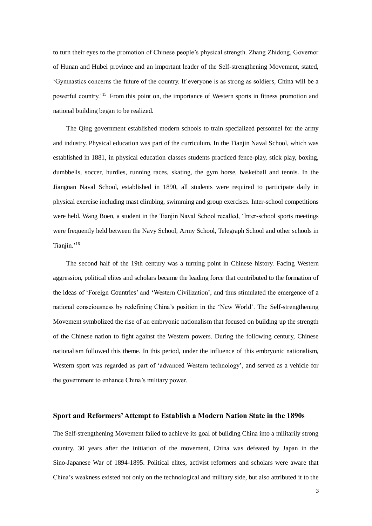to turn their eyes to the promotion of Chinese people's physical strength. Zhang Zhidong, Governor of Hunan and Hubei province and an important leader of the Self-strengthening Movement, stated, 'Gymnastics concerns the future of the country. If everyone is as strong as soldiers, China will be a powerful country.'<sup>15</sup> From this point on, the importance of Western sports in fitness promotion and national building began to be realized.

The Qing government established modern schools to train specialized personnel for the army and industry. Physical education was part of the curriculum. In the Tianjin Naval School, which was established in 1881, in physical education classes students practiced fence-play, stick play, boxing, dumbbells, soccer, hurdles, running races, skating, the gym horse, basketball and tennis. In the Jiangnan Naval School, established in 1890, all students were required to participate daily in physical exercise including mast climbing, swimming and group exercises. Inter-school competitions were held. Wang Boen, a student in the Tianjin Naval School recalled, 'Inter-school sports meetings were frequently held between the Navy School, Army School, Telegraph School and other schools in Tianiin.'<sup>16</sup>

The second half of the 19th century was a turning point in Chinese history. Facing Western aggression, political elites and scholars became the leading force that contributed to the formation of the ideas of 'Foreign Countries' and 'Western Civilization', and thus stimulated the emergence of a national consciousness by redefining China's position in the 'New World'. The Self-strengthening Movement symbolized the rise of an embryonic nationalism that focused on building up the strength of the Chinese nation to fight against the Western powers. During the following century, Chinese nationalism followed this theme. In this period, under the influence of this embryonic nationalism, Western sport was regarded as part of 'advanced Western technology', and served as a vehicle for the government to enhance China's military power.

## **Sport and Reformers' Attempt to Establish a Modern Nation State in the 1890s**

The Self-strengthening Movement failed to achieve its goal of building China into a militarily strong country. 30 years after the initiation of the movement, China was defeated by Japan in the Sino-Japanese War of 1894-1895. Political elites, activist reformers and scholars were aware that China's weakness existed not only on the technological and military side, but also attributed it to the